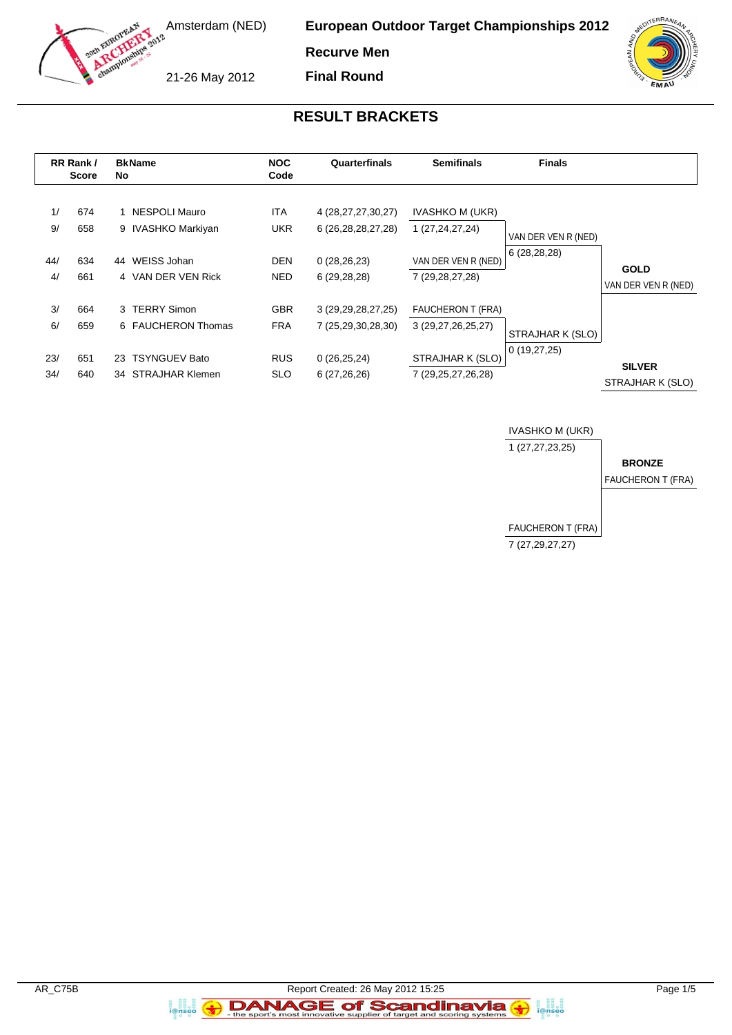

**European Outdoor Target Championships 2012**

**Recurve Men Final Round**

21-26 May 2012

### **RESULT BRACKETS**

|            | RR Rank /<br><b>Score</b> | No | <b>BkName</b>                          | <b>NOC</b><br>Code       | Quarterfinals                                | <b>Semifinals</b>                              | <b>Finals</b>       |                                    |
|------------|---------------------------|----|----------------------------------------|--------------------------|----------------------------------------------|------------------------------------------------|---------------------|------------------------------------|
| 1/<br>9/   | 674<br>658                |    | 1 NESPOLI Mauro<br>9 IVASHKO Markiyan  | <b>ITA</b><br><b>UKR</b> | 4 (28,27,27,30,27)<br>6 (26, 28, 28, 27, 28) | <b>IVASHKO M (UKR)</b><br>1 (27,24,27,24)      | VAN DER VEN R (NED) |                                    |
| 44/<br>4/  | 634<br>661                | 44 | WEISS Johan<br>4 VAN DER VEN Rick      | <b>DEN</b><br>NED.       | 0(28, 26, 23)<br>6(29, 28, 28)               | VAN DER VEN R (NED)<br>7 (29, 28, 27, 28)      | 6(28, 28, 28)       | <b>GOLD</b><br>VAN DER VEN R (NED) |
| 3/<br>6/   | 664<br>659                |    | 3 TERRY Simon<br>6 FAUCHERON Thomas    | <b>GBR</b><br><b>FRA</b> | 3 (29, 29, 28, 27, 25)<br>7 (25,29,30,28,30) | <b>FAUCHERON T (FRA)</b><br>3 (29,27,26,25,27) | STRAJHAR K (SLO)    |                                    |
| 23/<br>34/ | 651<br>640                |    | 23 TSYNGUEV Bato<br>34 STRAJHAR Klemen | <b>RUS</b><br><b>SLO</b> | 0(26, 25, 24)<br>6(27, 26, 26)               | STRAJHAR K (SLO)<br>7 (29,25,27,26,28)         | 0(19,27,25)         | <b>SILVER</b><br>STRAJHAR K (SLO)  |



a ann an<br>i@nseo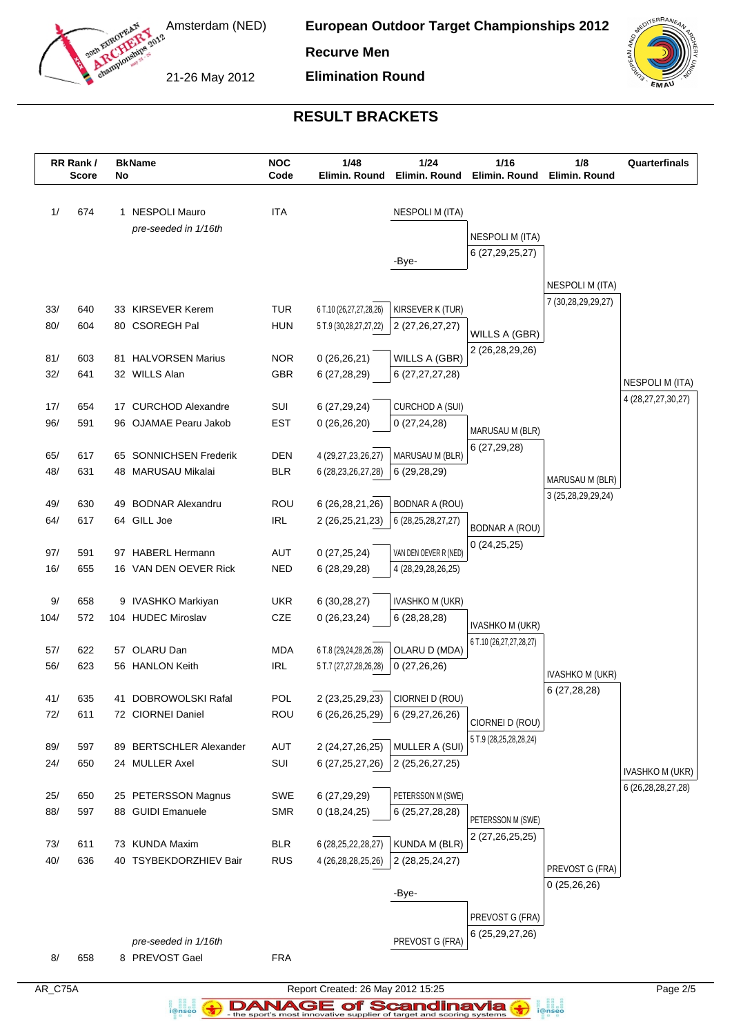

**European Outdoor Target Championships 2012**

**Recurve Men**

21-26 May 2012

**Elimination Round**



# **RESULT BRACKETS**

|            | RR Rank /<br><b>Score</b> | No | <b>BkName</b>                             | <b>NOC</b><br>Code       | 1/48<br>Elimin. Round                             | 1/24<br>Elimin. Round                  | 1/16<br>Elimin. Round   | 1/8<br>Elimin. Round                  | Quarterfinals          |
|------------|---------------------------|----|-------------------------------------------|--------------------------|---------------------------------------------------|----------------------------------------|-------------------------|---------------------------------------|------------------------|
| 1/         | 674                       |    | 1 NESPOLI Mauro                           | <b>ITA</b>               |                                                   | <b>NESPOLI M (ITA)</b>                 |                         |                                       |                        |
|            |                           |    | pre-seeded in 1/16th                      |                          |                                                   |                                        |                         |                                       |                        |
|            |                           |    |                                           |                          |                                                   |                                        | NESPOLI M (ITA)         |                                       |                        |
|            |                           |    |                                           |                          |                                                   | -Bye-                                  | 6 (27, 29, 25, 27)      |                                       |                        |
|            |                           |    |                                           |                          |                                                   |                                        |                         | <b>NESPOLI M (ITA)</b>                |                        |
|            |                           |    |                                           |                          |                                                   |                                        |                         | 7 (30,28,29,29,27)                    |                        |
| 33/<br>80/ | 640<br>604                |    | 33 KIRSEVER Kerem<br>80 CSOREGH Pal       | <b>TUR</b><br><b>HUN</b> | 6 T.10 (26,27,27,28,26)<br>5 T.9 (30,28,27,27,22) | KIRSEVER K (TUR)<br>2 (27, 26, 27, 27) |                         |                                       |                        |
|            |                           |    |                                           |                          |                                                   |                                        | WILLS A (GBR)           |                                       |                        |
| 81/        | 603                       |    | 81 HALVORSEN Marius                       | <b>NOR</b>               | 0(26, 26, 21)                                     | WILLS A (GBR)                          | 2 (26,28,29,26)         |                                       |                        |
| 32/        | 641                       |    | 32 WILLS Alan                             | <b>GBR</b>               | 6 (27,28,29)                                      | 6 (27, 27, 27, 28)                     |                         |                                       | <b>NESPOLI M (ITA)</b> |
|            |                           |    |                                           |                          |                                                   |                                        |                         |                                       | 4 (28, 27, 27, 30, 27) |
| 17/        | 654                       |    | 17 CURCHOD Alexandre                      | SUI                      | 6 (27,29,24)                                      | CURCHOD A (SUI)                        |                         |                                       |                        |
| 96/        | 591                       |    | 96 OJAMAE Pearu Jakob                     | <b>EST</b>               | 0(26,26,20)                                       | 0(27, 24, 28)                          | MARUSAU M (BLR)         |                                       |                        |
| 65/        | 617                       |    | 65 SONNICHSEN Frederik                    | <b>DEN</b>               | 4 (29,27,23,26,27)                                | MARUSAU M (BLR)                        | 6(27, 29, 28)           |                                       |                        |
| 48/        | 631                       |    | 48 MARUSAU Mikalai                        | <b>BLR</b>               | 6 (28, 23, 26, 27, 28)                            | 6(29, 28, 29)                          |                         |                                       |                        |
|            |                           |    |                                           |                          |                                                   |                                        |                         | MARUSAU M (BLR)<br>3 (25,28,29,29,24) |                        |
| 49/        | 630                       |    | 49 BODNAR Alexandru                       | ROU                      | 6 (26, 28, 21, 26)                                | <b>BODNAR A (ROU)</b>                  |                         |                                       |                        |
| 64/        | 617                       |    | 64 GILL Joe                               | <b>IRL</b>               | 2 (26,25,21,23)                                   | 6 (28, 25, 28, 27, 27)                 | <b>BODNAR A (ROU)</b>   |                                       |                        |
| 97/        | 591                       |    | 97 HABERL Hermann                         | AUT                      | 0(27, 25, 24)                                     | VAN DEN OEVER R (NED)                  | 0(24,25,25)             |                                       |                        |
| 16/        | 655                       |    | 16 VAN DEN OEVER Rick                     | <b>NED</b>               | 6 (28,29,28)                                      | 4 (28,29,28,26,25)                     |                         |                                       |                        |
|            |                           |    |                                           |                          |                                                   |                                        |                         |                                       |                        |
| $9/$       | 658                       |    | 9 IVASHKO Markiyan                        | <b>UKR</b>               | 6(30, 28, 27)                                     | IVASHKO M (UKR)                        |                         |                                       |                        |
| 104/       | 572                       |    | 104 HUDEC Miroslav                        | CZE                      | 0(26, 23, 24)                                     | 6 (28,28,28)                           | <b>IVASHKO M (UKR)</b>  |                                       |                        |
| 57/        | 622                       | 57 | OLARU Dan                                 | <b>MDA</b>               |                                                   | OLARU D (MDA)                          | 6 T.10 (26,27,27,28,27) |                                       |                        |
| 56/        | 623                       |    | 56 HANLON Keith                           | <b>IRL</b>               | 6 T.8 (29,24,28,26,28)<br>5 T.7 (27,27,28,26,28)  | 0(27,26,26)                            |                         |                                       |                        |
|            |                           |    |                                           |                          |                                                   |                                        |                         | <b>IVASHKO M (UKR)</b>                |                        |
| 41/        | 635                       |    | 41 DOBROWOLSKI Rafal                      | <b>POL</b>               |                                                   | 2 (23,25,29,23) CIORNEI D (ROU)        |                         | 6(27, 28, 28)                         |                        |
| 72/        | 611                       |    | 72 CIORNEI Daniel                         | <b>ROU</b>               |                                                   | $6(26,26,25,29)$ 6 (29,27,26,26)       | CIORNEI D (ROU)         |                                       |                        |
|            |                           |    |                                           |                          |                                                   |                                        | 5 T.9 (28,25,28,28,24)  |                                       |                        |
| 89/        | 597                       |    | 89 BERTSCHLER Alexander<br>24 MULLER Axel | <b>AUT</b>               | 2 (24,27,26,25)                                   | MULLER A (SUI)                         |                         |                                       |                        |
| 24/        | 650                       |    |                                           | SUI                      | 6 (27, 25, 27, 26)                                | 2 (25,26,27,25)                        |                         |                                       | <b>IVASHKO M (UKR)</b> |
| 25/        | 650                       |    | 25 PETERSSON Magnus                       | SWE                      | 6 (27,29,29)                                      | PETERSSON M (SWE)                      |                         |                                       | 6 (26, 28, 28, 27, 28) |
| 88/        | 597                       |    | 88 GUIDI Emanuele                         | <b>SMR</b>               | 0(18, 24, 25)                                     | 6 (25, 27, 28, 28)                     | PETERSSON M (SWE)       |                                       |                        |
|            |                           |    |                                           |                          |                                                   |                                        | 2 (27,26,25,25)         |                                       |                        |
| 73/        | 611                       |    | 73 KUNDA Maxim                            | <b>BLR</b>               | 6 (28, 25, 22, 28, 27)                            | KUNDA M (BLR)                          |                         |                                       |                        |
| 40/        | 636                       |    | 40 TSYBEKDORZHIEV Bair                    | <b>RUS</b>               | 4 (26, 28, 28, 25, 26)                            | 2 (28, 25, 24, 27)                     |                         | PREVOST G (FRA)                       |                        |
|            |                           |    |                                           |                          |                                                   | -Bye-                                  |                         | 0(25,26,26)                           |                        |
|            |                           |    |                                           |                          |                                                   |                                        |                         |                                       |                        |
|            |                           |    |                                           |                          |                                                   |                                        | PREVOST G (FRA)         |                                       |                        |
|            |                           |    | pre-seeded in 1/16th                      |                          |                                                   | PREVOST G (FRA)                        | 6 (25, 29, 27, 26)      |                                       |                        |
| 8/         | 658                       |    | 8 PREVOST Gael                            | <b>FRA</b>               |                                                   |                                        |                         |                                       |                        |

a analis<br>i@nseo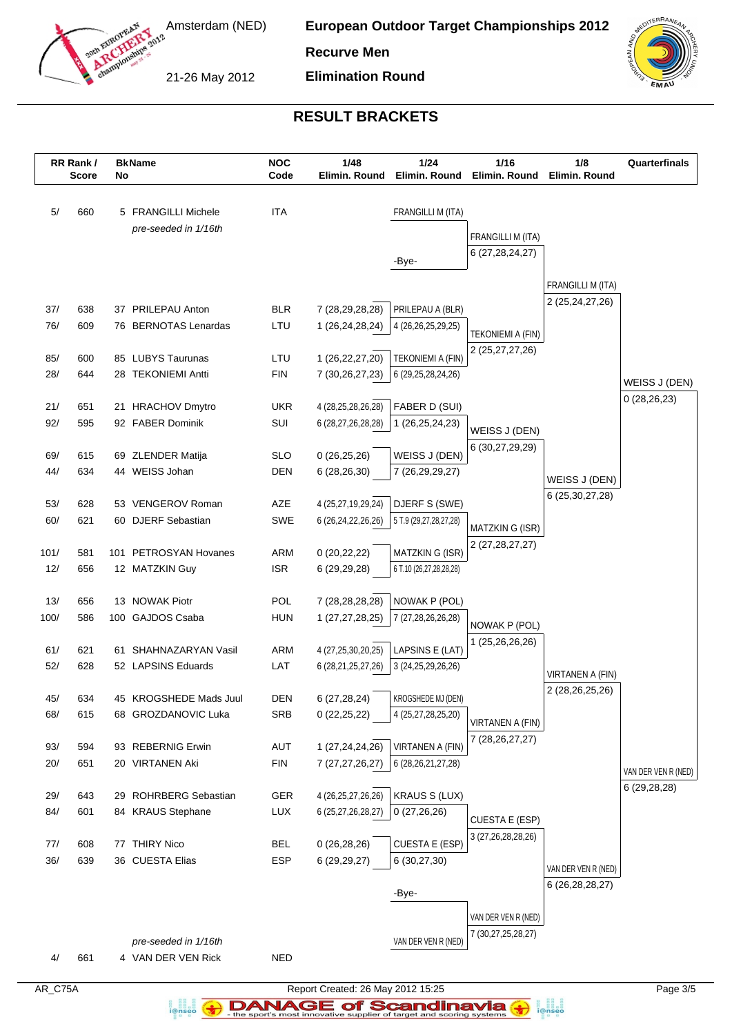

**European Outdoor Target Championships 2012**

**Recurve Men**

21-26 May 2012

**Elimination Round**



# **RESULT BRACKETS**

| 5/<br><b>ITA</b><br>FRANGILLI M (ITA)<br>660<br>5 FRANGILLI Michele<br>pre-seeded in 1/16th<br>FRANGILLI M (ITA)<br>6 (27, 28, 24, 27)<br>-Bye-<br>FRANGILLI M (ITA)<br>2 (25, 24, 27, 26)<br><b>BLR</b><br>PRILEPAU A (BLR)<br>37/<br>638<br>37 PRILEPAU Anton<br>7 (28,29,28,28)<br>76/<br>609<br>76 BERNOTAS Lenardas<br>LTU<br>1 (26,24,28,24)<br>4 (26,26,25,29,25)<br><b>TEKONIEMI A (FIN)</b><br>2 (25,27,27,26)<br>85/<br>85 LUBYS Taurunas<br>LTU<br>1 (26,22,27,20)<br>600<br><b>TEKONIEMI A (FIN)</b><br>28/<br>644<br>28 TEKONIEMI Antti<br><b>FIN</b><br>7 (30,26,27,23)<br>6 (29, 25, 28, 24, 26)<br>WEISS J (DEN)<br>0(28, 26, 23)<br>21/<br><b>UKR</b><br>FABER D (SUI)<br>651<br>21 HRACHOV Dmytro<br>4 (28,25,28,26,28)<br>92/<br>595<br>92 FABER Dominik<br>SUI<br>1 (26, 25, 24, 23)<br>6 (28,27,26,28,28)<br>WEISS J (DEN)<br>6 (30,27,29,29)<br>WEISS J (DEN)<br><b>SLO</b><br>69/<br>69 ZLENDER Matija<br>0(26, 25, 26)<br>615<br>44/<br>44 WEISS Johan<br>634<br><b>DEN</b><br>6(28, 26, 30)<br>7 (26,29,29,27)<br>WEISS J (DEN)<br>6 (25, 30, 27, 28)<br>53/<br>53 VENGEROV Roman<br>AZE<br>4 (25,27,19,29,24)<br>DJERF S (SWE)<br>628<br>60/<br>621<br>60 DJERF Sebastian<br>SWE<br>6 (26, 24, 22, 26, 26)<br>5 T.9 (29,27,28,27,28)<br>MATZKIN G (ISR)<br>2 (27, 28, 27, 27)<br><b>ARM</b><br>MATZKIN G (ISR)<br>101/<br>581<br>101 PETROSYAN Hovanes<br>0(20, 22, 22)<br>12/<br><b>ISR</b><br>656<br>12 MATZKIN Guy<br>6 (29,29,28)<br>6 T.10 (26,27,28,28,28)<br>13/<br>13 NOWAK Piotr<br>POL<br>NOWAK P (POL)<br>656<br>7 (28,28,28,28)<br>100/<br>100 GAJDOS Csaba<br><b>HUN</b><br>586<br>1 (27,27,28,25)<br>7 (27,28,26,26,28)<br>NOWAK P (POL)<br>1 (25,26,26,26)<br>61/<br>ARM<br>LAPSINS E (LAT)<br>621<br>61 SHAHNAZARYAN Vasil<br>4 (27,25,30,20,25)<br>52/<br>52 LAPSINS Eduards<br>LAT<br>628<br>6 (28,21,25,27,26)<br>3 (24, 25, 29, 26, 26)<br>VIRTANEN A (FIN)<br>2 (28,26,25,26)<br>KROGSHEDE MJ (DEN)<br><b>DEN</b><br>6 (27,28,24)<br>45 KROGSHEDE Mads Juul<br>45/<br>634<br>68/<br>68 GROZDANOVIC Luka<br><b>SRB</b><br>4 (25,27,28,25,20)<br>615<br>0(22, 25, 22)<br>VIRTANEN A (FIN)<br>7 (28, 26, 27, 27)<br>93/<br>594<br>93 REBERNIG Erwin<br><b>AUT</b><br>1 (27,24,24,26)<br>VIRTANEN A (FIN)<br>20/<br><b>FIN</b><br>651<br>20 VIRTANEN Aki<br>6 (28, 26, 21, 27, 28)<br>7 (27, 27, 26, 27)<br>VAN DER VEN R (NED)<br>6 (29,28,28)<br>29 ROHRBERG Sebastian<br><b>GER</b><br><b>KRAUS S (LUX)</b><br>29/<br>643<br>4 (26, 25, 27, 26, 26)<br>84/<br>LUX<br>601<br>84 KRAUS Stephane<br>6 (25,27,26,28,27)<br>0(27,26,26)<br><b>CUESTA E (ESP)</b><br>3 (27, 26, 28, 28, 26)<br>77 THIRY Nico<br>CUESTA E (ESP)<br>77/<br><b>BEL</b><br>0(26, 28, 26)<br>608<br>36/<br>36 CUESTA Elias<br><b>ESP</b><br>639<br>6 (30,27,30)<br>6 (29, 29, 27)<br>VAN DER VEN R (NED)<br>6 (26, 28, 28, 27)<br>-Bye-<br>VAN DER VEN R (NED)<br>7 (30,27,25,28,27)<br>VAN DER VEN R (NED)<br>pre-seeded in 1/16th<br>661<br><b>NED</b><br>4/<br>4 VAN DER VEN Rick | RR Rank /<br><b>Score</b> | No | <b>BkName</b> | <b>NOC</b><br>Code | 1/48<br>Elimin. Round | $1/24$<br>Elimin. Round | 1/16<br>Elimin. Round | 1/8<br>Elimin. Round | Quarterfinals |
|---------------------------------------------------------------------------------------------------------------------------------------------------------------------------------------------------------------------------------------------------------------------------------------------------------------------------------------------------------------------------------------------------------------------------------------------------------------------------------------------------------------------------------------------------------------------------------------------------------------------------------------------------------------------------------------------------------------------------------------------------------------------------------------------------------------------------------------------------------------------------------------------------------------------------------------------------------------------------------------------------------------------------------------------------------------------------------------------------------------------------------------------------------------------------------------------------------------------------------------------------------------------------------------------------------------------------------------------------------------------------------------------------------------------------------------------------------------------------------------------------------------------------------------------------------------------------------------------------------------------------------------------------------------------------------------------------------------------------------------------------------------------------------------------------------------------------------------------------------------------------------------------------------------------------------------------------------------------------------------------------------------------------------------------------------------------------------------------------------------------------------------------------------------------------------------------------------------------------------------------------------------------------------------------------------------------------------------------------------------------------------------------------------------------------------------------------------------------------------------------------------------------------------------------------------------------------------------------------------------------------------------------------------------------------------------------------------------------------------------------------------------------------------------------------------------------------------------------------------------------------------------------------------------------------------------------------------------------------------------------------------|---------------------------|----|---------------|--------------------|-----------------------|-------------------------|-----------------------|----------------------|---------------|
|                                                                                                                                                                                                                                                                                                                                                                                                                                                                                                                                                                                                                                                                                                                                                                                                                                                                                                                                                                                                                                                                                                                                                                                                                                                                                                                                                                                                                                                                                                                                                                                                                                                                                                                                                                                                                                                                                                                                                                                                                                                                                                                                                                                                                                                                                                                                                                                                                                                                                                                                                                                                                                                                                                                                                                                                                                                                                                                                                                                                         |                           |    |               |                    |                       |                         |                       |                      |               |
|                                                                                                                                                                                                                                                                                                                                                                                                                                                                                                                                                                                                                                                                                                                                                                                                                                                                                                                                                                                                                                                                                                                                                                                                                                                                                                                                                                                                                                                                                                                                                                                                                                                                                                                                                                                                                                                                                                                                                                                                                                                                                                                                                                                                                                                                                                                                                                                                                                                                                                                                                                                                                                                                                                                                                                                                                                                                                                                                                                                                         |                           |    |               |                    |                       |                         |                       |                      |               |
|                                                                                                                                                                                                                                                                                                                                                                                                                                                                                                                                                                                                                                                                                                                                                                                                                                                                                                                                                                                                                                                                                                                                                                                                                                                                                                                                                                                                                                                                                                                                                                                                                                                                                                                                                                                                                                                                                                                                                                                                                                                                                                                                                                                                                                                                                                                                                                                                                                                                                                                                                                                                                                                                                                                                                                                                                                                                                                                                                                                                         |                           |    |               |                    |                       |                         |                       |                      |               |
|                                                                                                                                                                                                                                                                                                                                                                                                                                                                                                                                                                                                                                                                                                                                                                                                                                                                                                                                                                                                                                                                                                                                                                                                                                                                                                                                                                                                                                                                                                                                                                                                                                                                                                                                                                                                                                                                                                                                                                                                                                                                                                                                                                                                                                                                                                                                                                                                                                                                                                                                                                                                                                                                                                                                                                                                                                                                                                                                                                                                         |                           |    |               |                    |                       |                         |                       |                      |               |
|                                                                                                                                                                                                                                                                                                                                                                                                                                                                                                                                                                                                                                                                                                                                                                                                                                                                                                                                                                                                                                                                                                                                                                                                                                                                                                                                                                                                                                                                                                                                                                                                                                                                                                                                                                                                                                                                                                                                                                                                                                                                                                                                                                                                                                                                                                                                                                                                                                                                                                                                                                                                                                                                                                                                                                                                                                                                                                                                                                                                         |                           |    |               |                    |                       |                         |                       |                      |               |
|                                                                                                                                                                                                                                                                                                                                                                                                                                                                                                                                                                                                                                                                                                                                                                                                                                                                                                                                                                                                                                                                                                                                                                                                                                                                                                                                                                                                                                                                                                                                                                                                                                                                                                                                                                                                                                                                                                                                                                                                                                                                                                                                                                                                                                                                                                                                                                                                                                                                                                                                                                                                                                                                                                                                                                                                                                                                                                                                                                                                         |                           |    |               |                    |                       |                         |                       |                      |               |
|                                                                                                                                                                                                                                                                                                                                                                                                                                                                                                                                                                                                                                                                                                                                                                                                                                                                                                                                                                                                                                                                                                                                                                                                                                                                                                                                                                                                                                                                                                                                                                                                                                                                                                                                                                                                                                                                                                                                                                                                                                                                                                                                                                                                                                                                                                                                                                                                                                                                                                                                                                                                                                                                                                                                                                                                                                                                                                                                                                                                         |                           |    |               |                    |                       |                         |                       |                      |               |
|                                                                                                                                                                                                                                                                                                                                                                                                                                                                                                                                                                                                                                                                                                                                                                                                                                                                                                                                                                                                                                                                                                                                                                                                                                                                                                                                                                                                                                                                                                                                                                                                                                                                                                                                                                                                                                                                                                                                                                                                                                                                                                                                                                                                                                                                                                                                                                                                                                                                                                                                                                                                                                                                                                                                                                                                                                                                                                                                                                                                         |                           |    |               |                    |                       |                         |                       |                      |               |
|                                                                                                                                                                                                                                                                                                                                                                                                                                                                                                                                                                                                                                                                                                                                                                                                                                                                                                                                                                                                                                                                                                                                                                                                                                                                                                                                                                                                                                                                                                                                                                                                                                                                                                                                                                                                                                                                                                                                                                                                                                                                                                                                                                                                                                                                                                                                                                                                                                                                                                                                                                                                                                                                                                                                                                                                                                                                                                                                                                                                         |                           |    |               |                    |                       |                         |                       |                      |               |
|                                                                                                                                                                                                                                                                                                                                                                                                                                                                                                                                                                                                                                                                                                                                                                                                                                                                                                                                                                                                                                                                                                                                                                                                                                                                                                                                                                                                                                                                                                                                                                                                                                                                                                                                                                                                                                                                                                                                                                                                                                                                                                                                                                                                                                                                                                                                                                                                                                                                                                                                                                                                                                                                                                                                                                                                                                                                                                                                                                                                         |                           |    |               |                    |                       |                         |                       |                      |               |
|                                                                                                                                                                                                                                                                                                                                                                                                                                                                                                                                                                                                                                                                                                                                                                                                                                                                                                                                                                                                                                                                                                                                                                                                                                                                                                                                                                                                                                                                                                                                                                                                                                                                                                                                                                                                                                                                                                                                                                                                                                                                                                                                                                                                                                                                                                                                                                                                                                                                                                                                                                                                                                                                                                                                                                                                                                                                                                                                                                                                         |                           |    |               |                    |                       |                         |                       |                      |               |
|                                                                                                                                                                                                                                                                                                                                                                                                                                                                                                                                                                                                                                                                                                                                                                                                                                                                                                                                                                                                                                                                                                                                                                                                                                                                                                                                                                                                                                                                                                                                                                                                                                                                                                                                                                                                                                                                                                                                                                                                                                                                                                                                                                                                                                                                                                                                                                                                                                                                                                                                                                                                                                                                                                                                                                                                                                                                                                                                                                                                         |                           |    |               |                    |                       |                         |                       |                      |               |
|                                                                                                                                                                                                                                                                                                                                                                                                                                                                                                                                                                                                                                                                                                                                                                                                                                                                                                                                                                                                                                                                                                                                                                                                                                                                                                                                                                                                                                                                                                                                                                                                                                                                                                                                                                                                                                                                                                                                                                                                                                                                                                                                                                                                                                                                                                                                                                                                                                                                                                                                                                                                                                                                                                                                                                                                                                                                                                                                                                                                         |                           |    |               |                    |                       |                         |                       |                      |               |
|                                                                                                                                                                                                                                                                                                                                                                                                                                                                                                                                                                                                                                                                                                                                                                                                                                                                                                                                                                                                                                                                                                                                                                                                                                                                                                                                                                                                                                                                                                                                                                                                                                                                                                                                                                                                                                                                                                                                                                                                                                                                                                                                                                                                                                                                                                                                                                                                                                                                                                                                                                                                                                                                                                                                                                                                                                                                                                                                                                                                         |                           |    |               |                    |                       |                         |                       |                      |               |
|                                                                                                                                                                                                                                                                                                                                                                                                                                                                                                                                                                                                                                                                                                                                                                                                                                                                                                                                                                                                                                                                                                                                                                                                                                                                                                                                                                                                                                                                                                                                                                                                                                                                                                                                                                                                                                                                                                                                                                                                                                                                                                                                                                                                                                                                                                                                                                                                                                                                                                                                                                                                                                                                                                                                                                                                                                                                                                                                                                                                         |                           |    |               |                    |                       |                         |                       |                      |               |
|                                                                                                                                                                                                                                                                                                                                                                                                                                                                                                                                                                                                                                                                                                                                                                                                                                                                                                                                                                                                                                                                                                                                                                                                                                                                                                                                                                                                                                                                                                                                                                                                                                                                                                                                                                                                                                                                                                                                                                                                                                                                                                                                                                                                                                                                                                                                                                                                                                                                                                                                                                                                                                                                                                                                                                                                                                                                                                                                                                                                         |                           |    |               |                    |                       |                         |                       |                      |               |
|                                                                                                                                                                                                                                                                                                                                                                                                                                                                                                                                                                                                                                                                                                                                                                                                                                                                                                                                                                                                                                                                                                                                                                                                                                                                                                                                                                                                                                                                                                                                                                                                                                                                                                                                                                                                                                                                                                                                                                                                                                                                                                                                                                                                                                                                                                                                                                                                                                                                                                                                                                                                                                                                                                                                                                                                                                                                                                                                                                                                         |                           |    |               |                    |                       |                         |                       |                      |               |
|                                                                                                                                                                                                                                                                                                                                                                                                                                                                                                                                                                                                                                                                                                                                                                                                                                                                                                                                                                                                                                                                                                                                                                                                                                                                                                                                                                                                                                                                                                                                                                                                                                                                                                                                                                                                                                                                                                                                                                                                                                                                                                                                                                                                                                                                                                                                                                                                                                                                                                                                                                                                                                                                                                                                                                                                                                                                                                                                                                                                         |                           |    |               |                    |                       |                         |                       |                      |               |
|                                                                                                                                                                                                                                                                                                                                                                                                                                                                                                                                                                                                                                                                                                                                                                                                                                                                                                                                                                                                                                                                                                                                                                                                                                                                                                                                                                                                                                                                                                                                                                                                                                                                                                                                                                                                                                                                                                                                                                                                                                                                                                                                                                                                                                                                                                                                                                                                                                                                                                                                                                                                                                                                                                                                                                                                                                                                                                                                                                                                         |                           |    |               |                    |                       |                         |                       |                      |               |
|                                                                                                                                                                                                                                                                                                                                                                                                                                                                                                                                                                                                                                                                                                                                                                                                                                                                                                                                                                                                                                                                                                                                                                                                                                                                                                                                                                                                                                                                                                                                                                                                                                                                                                                                                                                                                                                                                                                                                                                                                                                                                                                                                                                                                                                                                                                                                                                                                                                                                                                                                                                                                                                                                                                                                                                                                                                                                                                                                                                                         |                           |    |               |                    |                       |                         |                       |                      |               |
|                                                                                                                                                                                                                                                                                                                                                                                                                                                                                                                                                                                                                                                                                                                                                                                                                                                                                                                                                                                                                                                                                                                                                                                                                                                                                                                                                                                                                                                                                                                                                                                                                                                                                                                                                                                                                                                                                                                                                                                                                                                                                                                                                                                                                                                                                                                                                                                                                                                                                                                                                                                                                                                                                                                                                                                                                                                                                                                                                                                                         |                           |    |               |                    |                       |                         |                       |                      |               |
|                                                                                                                                                                                                                                                                                                                                                                                                                                                                                                                                                                                                                                                                                                                                                                                                                                                                                                                                                                                                                                                                                                                                                                                                                                                                                                                                                                                                                                                                                                                                                                                                                                                                                                                                                                                                                                                                                                                                                                                                                                                                                                                                                                                                                                                                                                                                                                                                                                                                                                                                                                                                                                                                                                                                                                                                                                                                                                                                                                                                         |                           |    |               |                    |                       |                         |                       |                      |               |
|                                                                                                                                                                                                                                                                                                                                                                                                                                                                                                                                                                                                                                                                                                                                                                                                                                                                                                                                                                                                                                                                                                                                                                                                                                                                                                                                                                                                                                                                                                                                                                                                                                                                                                                                                                                                                                                                                                                                                                                                                                                                                                                                                                                                                                                                                                                                                                                                                                                                                                                                                                                                                                                                                                                                                                                                                                                                                                                                                                                                         |                           |    |               |                    |                       |                         |                       |                      |               |
|                                                                                                                                                                                                                                                                                                                                                                                                                                                                                                                                                                                                                                                                                                                                                                                                                                                                                                                                                                                                                                                                                                                                                                                                                                                                                                                                                                                                                                                                                                                                                                                                                                                                                                                                                                                                                                                                                                                                                                                                                                                                                                                                                                                                                                                                                                                                                                                                                                                                                                                                                                                                                                                                                                                                                                                                                                                                                                                                                                                                         |                           |    |               |                    |                       |                         |                       |                      |               |
|                                                                                                                                                                                                                                                                                                                                                                                                                                                                                                                                                                                                                                                                                                                                                                                                                                                                                                                                                                                                                                                                                                                                                                                                                                                                                                                                                                                                                                                                                                                                                                                                                                                                                                                                                                                                                                                                                                                                                                                                                                                                                                                                                                                                                                                                                                                                                                                                                                                                                                                                                                                                                                                                                                                                                                                                                                                                                                                                                                                                         |                           |    |               |                    |                       |                         |                       |                      |               |
|                                                                                                                                                                                                                                                                                                                                                                                                                                                                                                                                                                                                                                                                                                                                                                                                                                                                                                                                                                                                                                                                                                                                                                                                                                                                                                                                                                                                                                                                                                                                                                                                                                                                                                                                                                                                                                                                                                                                                                                                                                                                                                                                                                                                                                                                                                                                                                                                                                                                                                                                                                                                                                                                                                                                                                                                                                                                                                                                                                                                         |                           |    |               |                    |                       |                         |                       |                      |               |
|                                                                                                                                                                                                                                                                                                                                                                                                                                                                                                                                                                                                                                                                                                                                                                                                                                                                                                                                                                                                                                                                                                                                                                                                                                                                                                                                                                                                                                                                                                                                                                                                                                                                                                                                                                                                                                                                                                                                                                                                                                                                                                                                                                                                                                                                                                                                                                                                                                                                                                                                                                                                                                                                                                                                                                                                                                                                                                                                                                                                         |                           |    |               |                    |                       |                         |                       |                      |               |
|                                                                                                                                                                                                                                                                                                                                                                                                                                                                                                                                                                                                                                                                                                                                                                                                                                                                                                                                                                                                                                                                                                                                                                                                                                                                                                                                                                                                                                                                                                                                                                                                                                                                                                                                                                                                                                                                                                                                                                                                                                                                                                                                                                                                                                                                                                                                                                                                                                                                                                                                                                                                                                                                                                                                                                                                                                                                                                                                                                                                         |                           |    |               |                    |                       |                         |                       |                      |               |
|                                                                                                                                                                                                                                                                                                                                                                                                                                                                                                                                                                                                                                                                                                                                                                                                                                                                                                                                                                                                                                                                                                                                                                                                                                                                                                                                                                                                                                                                                                                                                                                                                                                                                                                                                                                                                                                                                                                                                                                                                                                                                                                                                                                                                                                                                                                                                                                                                                                                                                                                                                                                                                                                                                                                                                                                                                                                                                                                                                                                         |                           |    |               |                    |                       |                         |                       |                      |               |
|                                                                                                                                                                                                                                                                                                                                                                                                                                                                                                                                                                                                                                                                                                                                                                                                                                                                                                                                                                                                                                                                                                                                                                                                                                                                                                                                                                                                                                                                                                                                                                                                                                                                                                                                                                                                                                                                                                                                                                                                                                                                                                                                                                                                                                                                                                                                                                                                                                                                                                                                                                                                                                                                                                                                                                                                                                                                                                                                                                                                         |                           |    |               |                    |                       |                         |                       |                      |               |
|                                                                                                                                                                                                                                                                                                                                                                                                                                                                                                                                                                                                                                                                                                                                                                                                                                                                                                                                                                                                                                                                                                                                                                                                                                                                                                                                                                                                                                                                                                                                                                                                                                                                                                                                                                                                                                                                                                                                                                                                                                                                                                                                                                                                                                                                                                                                                                                                                                                                                                                                                                                                                                                                                                                                                                                                                                                                                                                                                                                                         |                           |    |               |                    |                       |                         |                       |                      |               |
|                                                                                                                                                                                                                                                                                                                                                                                                                                                                                                                                                                                                                                                                                                                                                                                                                                                                                                                                                                                                                                                                                                                                                                                                                                                                                                                                                                                                                                                                                                                                                                                                                                                                                                                                                                                                                                                                                                                                                                                                                                                                                                                                                                                                                                                                                                                                                                                                                                                                                                                                                                                                                                                                                                                                                                                                                                                                                                                                                                                                         |                           |    |               |                    |                       |                         |                       |                      |               |
|                                                                                                                                                                                                                                                                                                                                                                                                                                                                                                                                                                                                                                                                                                                                                                                                                                                                                                                                                                                                                                                                                                                                                                                                                                                                                                                                                                                                                                                                                                                                                                                                                                                                                                                                                                                                                                                                                                                                                                                                                                                                                                                                                                                                                                                                                                                                                                                                                                                                                                                                                                                                                                                                                                                                                                                                                                                                                                                                                                                                         |                           |    |               |                    |                       |                         |                       |                      |               |
|                                                                                                                                                                                                                                                                                                                                                                                                                                                                                                                                                                                                                                                                                                                                                                                                                                                                                                                                                                                                                                                                                                                                                                                                                                                                                                                                                                                                                                                                                                                                                                                                                                                                                                                                                                                                                                                                                                                                                                                                                                                                                                                                                                                                                                                                                                                                                                                                                                                                                                                                                                                                                                                                                                                                                                                                                                                                                                                                                                                                         |                           |    |               |                    |                       |                         |                       |                      |               |
|                                                                                                                                                                                                                                                                                                                                                                                                                                                                                                                                                                                                                                                                                                                                                                                                                                                                                                                                                                                                                                                                                                                                                                                                                                                                                                                                                                                                                                                                                                                                                                                                                                                                                                                                                                                                                                                                                                                                                                                                                                                                                                                                                                                                                                                                                                                                                                                                                                                                                                                                                                                                                                                                                                                                                                                                                                                                                                                                                                                                         |                           |    |               |                    |                       |                         |                       |                      |               |
|                                                                                                                                                                                                                                                                                                                                                                                                                                                                                                                                                                                                                                                                                                                                                                                                                                                                                                                                                                                                                                                                                                                                                                                                                                                                                                                                                                                                                                                                                                                                                                                                                                                                                                                                                                                                                                                                                                                                                                                                                                                                                                                                                                                                                                                                                                                                                                                                                                                                                                                                                                                                                                                                                                                                                                                                                                                                                                                                                                                                         |                           |    |               |                    |                       |                         |                       |                      |               |
|                                                                                                                                                                                                                                                                                                                                                                                                                                                                                                                                                                                                                                                                                                                                                                                                                                                                                                                                                                                                                                                                                                                                                                                                                                                                                                                                                                                                                                                                                                                                                                                                                                                                                                                                                                                                                                                                                                                                                                                                                                                                                                                                                                                                                                                                                                                                                                                                                                                                                                                                                                                                                                                                                                                                                                                                                                                                                                                                                                                                         |                           |    |               |                    |                       |                         |                       |                      |               |
|                                                                                                                                                                                                                                                                                                                                                                                                                                                                                                                                                                                                                                                                                                                                                                                                                                                                                                                                                                                                                                                                                                                                                                                                                                                                                                                                                                                                                                                                                                                                                                                                                                                                                                                                                                                                                                                                                                                                                                                                                                                                                                                                                                                                                                                                                                                                                                                                                                                                                                                                                                                                                                                                                                                                                                                                                                                                                                                                                                                                         |                           |    |               |                    |                       |                         |                       |                      |               |
|                                                                                                                                                                                                                                                                                                                                                                                                                                                                                                                                                                                                                                                                                                                                                                                                                                                                                                                                                                                                                                                                                                                                                                                                                                                                                                                                                                                                                                                                                                                                                                                                                                                                                                                                                                                                                                                                                                                                                                                                                                                                                                                                                                                                                                                                                                                                                                                                                                                                                                                                                                                                                                                                                                                                                                                                                                                                                                                                                                                                         |                           |    |               |                    |                       |                         |                       |                      |               |
|                                                                                                                                                                                                                                                                                                                                                                                                                                                                                                                                                                                                                                                                                                                                                                                                                                                                                                                                                                                                                                                                                                                                                                                                                                                                                                                                                                                                                                                                                                                                                                                                                                                                                                                                                                                                                                                                                                                                                                                                                                                                                                                                                                                                                                                                                                                                                                                                                                                                                                                                                                                                                                                                                                                                                                                                                                                                                                                                                                                                         |                           |    |               |                    |                       |                         |                       |                      |               |
|                                                                                                                                                                                                                                                                                                                                                                                                                                                                                                                                                                                                                                                                                                                                                                                                                                                                                                                                                                                                                                                                                                                                                                                                                                                                                                                                                                                                                                                                                                                                                                                                                                                                                                                                                                                                                                                                                                                                                                                                                                                                                                                                                                                                                                                                                                                                                                                                                                                                                                                                                                                                                                                                                                                                                                                                                                                                                                                                                                                                         |                           |    |               |                    |                       |                         |                       |                      |               |

AR\_C75A Report Created: 26 May 2012 15:25 Page 3/5 **DANAGE of Scandinavia** 

a analis<br>i@nseo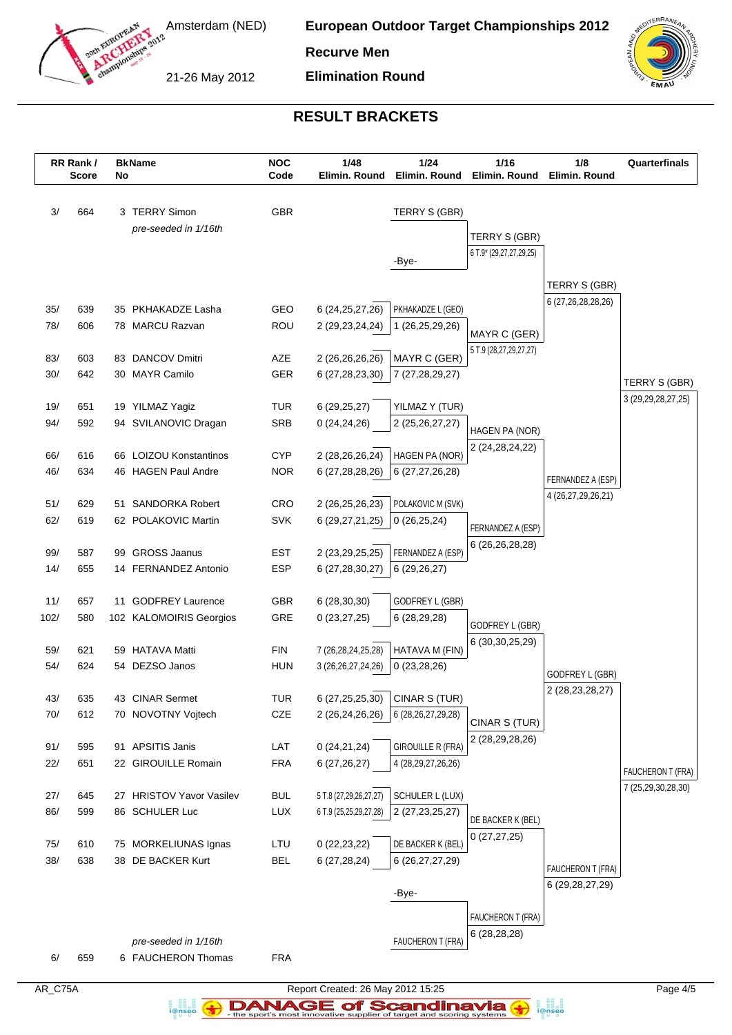

**European Outdoor Target Championships 2012**

**Recurve Men**

21-26 May 2012

**Elimination Round**



# **RESULT BRACKETS**

|      | RR Rank /<br><b>Score</b> | No | <b>BkName</b>            | <b>NOC</b><br>Code | 1/48<br>Elimin. Round                        | 1/24<br>Elimin. Round                | 1/16<br>Elimin. Round   | 1/8<br>Elimin. Round   | Quarterfinals          |
|------|---------------------------|----|--------------------------|--------------------|----------------------------------------------|--------------------------------------|-------------------------|------------------------|------------------------|
| 3/   | 664                       |    | 3 TERRY Simon            | <b>GBR</b>         |                                              | TERRY S (GBR)                        |                         |                        |                        |
|      |                           |    | pre-seeded in 1/16th     |                    |                                              |                                      | TERRY S (GBR)           |                        |                        |
|      |                           |    |                          |                    |                                              |                                      | 6 T.9* (29,27,27,29,25) |                        |                        |
|      |                           |    |                          |                    |                                              | -Bye-                                |                         |                        |                        |
|      |                           |    |                          |                    |                                              |                                      |                         | TERRY S (GBR)          |                        |
| 35/  | 639                       |    | 35 PKHAKADZE Lasha       | GEO                | 6 (24, 25, 27, 26)                           | PKHAKADZE L (GEO)                    |                         | 6 (27,26,28,28,26)     |                        |
| 78/  | 606                       |    | 78 MARCU Razvan          | <b>ROU</b>         | 2 (29, 23, 24, 24)                           | 1 (26,25,29,26)                      | MAYR C (GER)            |                        |                        |
|      |                           |    |                          |                    |                                              |                                      | 5 T.9 (28,27,29,27,27)  |                        |                        |
| 83/  | 603                       |    | 83 DANCOV Dmitri         | AZE                | 2 (26,26,26,26)                              | MAYR C (GER)                         |                         |                        |                        |
| 30/  | 642                       |    | 30 MAYR Camilo           | <b>GER</b>         | 6 (27, 28, 23, 30)                           | 7 (27,28,29,27)                      |                         |                        | TERRY S (GBR)          |
| 19/  | 651                       |    | 19 YILMAZ Yagiz          | <b>TUR</b>         | 6(29, 25, 27)                                | YILMAZ Y (TUR)                       |                         |                        | 3 (29, 29, 28, 27, 25) |
| 94/  | 592                       |    | 94 SVILANOVIC Dragan     | <b>SRB</b>         | 0(24, 24, 26)                                | 2 (25, 26, 27, 27)                   |                         |                        |                        |
|      |                           |    |                          |                    |                                              |                                      | HAGEN PA (NOR)          |                        |                        |
| 66/  | 616                       |    | 66 LOIZOU Konstantinos   | <b>CYP</b>         | 2 (28,26,26,24)                              | HAGEN PA (NOR)                       | 2 (24, 28, 24, 22)      |                        |                        |
| 46/  | 634                       |    | 46 HAGEN Paul Andre      | <b>NOR</b>         | 6 (27,28,28,26)                              | 6 (27,27,26,28)                      |                         | FERNANDEZ A (ESP)      |                        |
|      |                           |    |                          |                    |                                              |                                      |                         | 4 (26, 27, 29, 26, 21) |                        |
| 51/  | 629<br>619                |    | 51 SANDORKA Robert       | CRO                | 2 (26,25,26,23)                              | POLAKOVIC M (SVK)                    |                         |                        |                        |
| 62/  |                           |    | 62 POLAKOVIC Martin      | <b>SVK</b>         | 6 (29,27,21,25)                              | 0(26, 25, 24)                        | FERNANDEZ A (ESP)       |                        |                        |
| 99/  | 587                       | 99 | <b>GROSS Jaanus</b>      | <b>EST</b>         | 2 (23, 29, 25, 25)                           | FERNANDEZ A (ESP)                    | 6 (26, 26, 28, 28)      |                        |                        |
| 14/  | 655                       |    | 14 FERNANDEZ Antonio     | <b>ESP</b>         | 6 (27,28,30,27)                              | 6(29,26,27)                          |                         |                        |                        |
|      |                           |    |                          |                    |                                              |                                      |                         |                        |                        |
| 11/  | 657                       |    | 11 GODFREY Laurence      | GBR.               | 6(28, 30, 30)                                | GODFREY L (GBR)                      |                         |                        |                        |
| 102/ | 580                       |    | 102 KALOMOIRIS Georgios  | GRE                | 0(23, 27, 25)                                | 6(28, 29, 28)                        | GODFREY L (GBR)         |                        |                        |
| 59/  | 621                       |    | <b>HATAVA Matti</b>      | <b>FIN</b>         |                                              |                                      | 6 (30, 30, 25, 29)      |                        |                        |
| 54/  | 624                       | 59 | 54 DEZSO Janos           | <b>HUN</b>         | 7 (26,28,24,25,28)<br>3 (26, 26, 27, 24, 26) | HATAVA M (FIN)<br>0(23, 28, 26)      |                         |                        |                        |
|      |                           |    |                          |                    |                                              |                                      |                         | GODFREY L (GBR)        |                        |
| 43/  | 635                       |    | 43 CINAR Sermet          | <b>TUR</b>         | 6 (27, 25, 25, 30)                           | CINAR S (TUR)                        |                         | 2 (28, 23, 28, 27)     |                        |
| 70/  | 612                       |    | 70 NOVOTNY Vojtech       | CZE                |                                              | 2 (26,24,26,26)   6 (28,26,27,29,28) | CINAR S (TUR)           |                        |                        |
|      |                           |    |                          |                    |                                              |                                      | 2 (28,29,28,26)         |                        |                        |
| 91/  | 595                       |    | 91 APSITIS Janis         | LAT                | 0(24,21,24)                                  | <b>GIROUILLE R (FRA)</b>             |                         |                        |                        |
| 22/  | 651                       |    | 22 GIROUILLE Romain      | <b>FRA</b>         | 6(27,26,27)                                  | 4 (28, 29, 27, 26, 26)               |                         |                        | FAUCHERON T (FRA)      |
| 27/  | 645                       |    | 27 HRISTOV Yavor Vasilev | <b>BUL</b>         | 5 T.8 (27,29,26,27,27)                       | SCHULER L (LUX)                      |                         |                        | 7 (25,29,30,28,30)     |
| 86/  | 599                       |    | 86 SCHULER Luc           | LUX                | 6 T.9 (25,25,29,27,28)                       | 2 (27, 23, 25, 27)                   |                         |                        |                        |
|      |                           |    |                          |                    |                                              |                                      | DE BACKER K (BEL)       |                        |                        |
| 75/  | 610                       |    | 75 MORKELIUNAS Ignas     | LTU                | 0(22, 23, 22)                                | DE BACKER K (BEL)                    | 0(27, 27, 25)           |                        |                        |
| 38/  | 638                       |    | 38 DE BACKER Kurt        | <b>BEL</b>         | 6 (27,28,24)                                 | 6 (26, 27, 27, 29)                   |                         | FAUCHERON T (FRA)      |                        |
|      |                           |    |                          |                    |                                              |                                      |                         | 6 (29, 28, 27, 29)     |                        |
|      |                           |    |                          |                    |                                              | -Bye-                                |                         |                        |                        |
|      |                           |    |                          |                    |                                              |                                      | FAUCHERON T (FRA)       |                        |                        |
|      |                           |    | pre-seeded in 1/16th     |                    |                                              | FAUCHERON T (FRA)                    | 6(28, 28, 28)           |                        |                        |
| 6/   | 659                       |    | 6 FAUCHERON Thomas       | <b>FRA</b>         |                                              |                                      |                         |                        |                        |
|      |                           |    |                          |                    |                                              |                                      |                         |                        |                        |

a analis<br>i@nseo

AR\_C75A Report Created: 26 May 2012 15:25 Page 4/5 **DANAGE of Scandinavia**